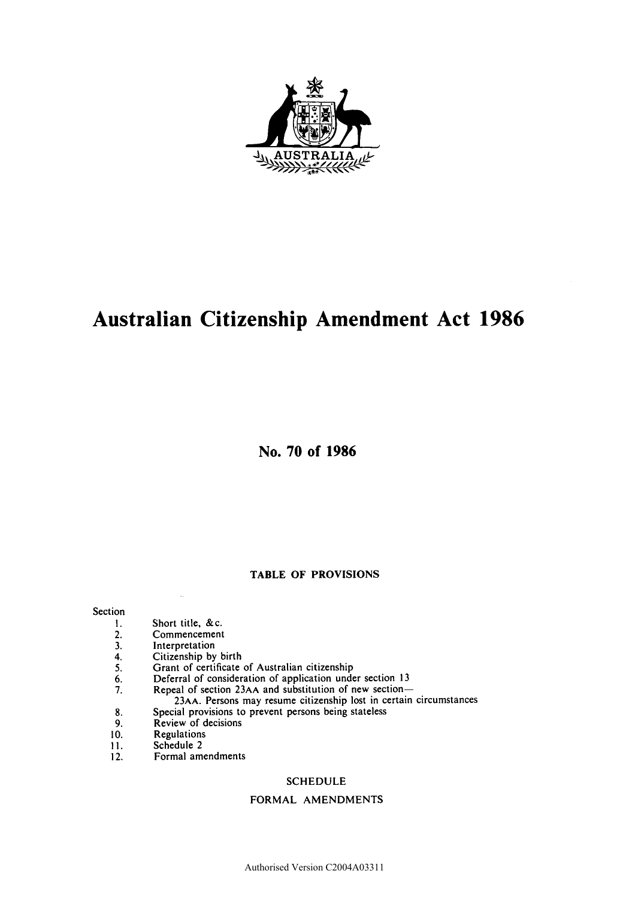

# **Australian Citizenship Amendment Act 1986**

**No. 70 of 1986** 

### **TABLE OF PROVISIONS**

# Section<br>1.

- 
- 1. Short title, &c.<br>2. Commencement 2. Commencement<br>3. Interpretation
- 
- 3. Interpretation<br>4. Citizenship by<br>5. Grant of certi Citizenship by birth
- 5. Grant of certificate of Australian citizenship<br>6. Deferral of consideration of application unde
- 6. Deferral of consideration of application under section 13<br>7. Repeal of section 23AA and substitution of new section-
- Repeal of section 23AA and substitution of new section-
	- 23AA. Persons may resume citizenship lost in certain circumstances
- 8. Special provisions to prevent persons being stateless<br>9. Review of decisions
- Review of decisions
- 10. Regulations
- 11. Schedule 2
- 12. Formal amendments

#### SCHEDULE

#### FORMAL AMENDMENTS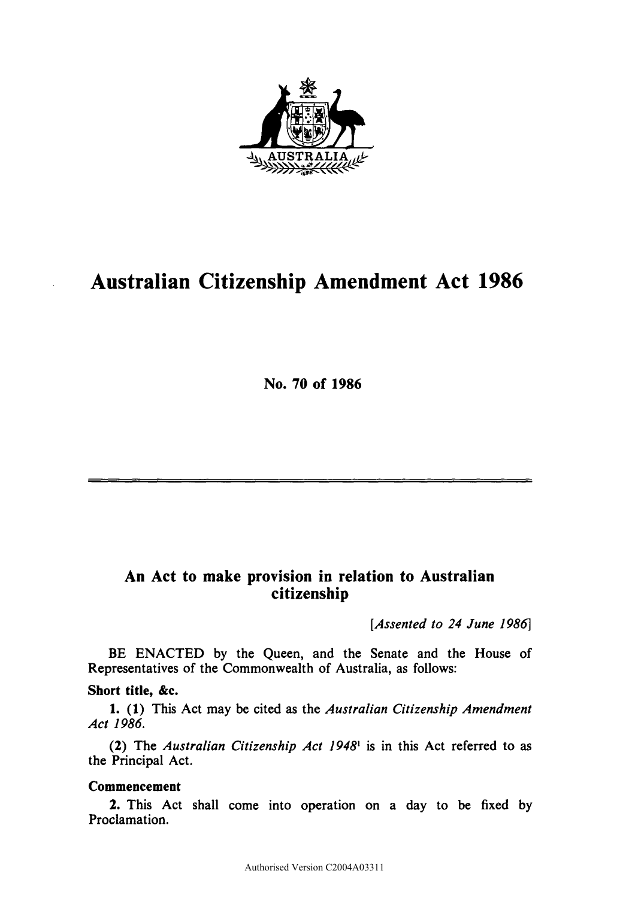

# **Australian Citizenship Amendment Act 1986**

**N o . 70 of 1986** 

# **An Act to make provision in relation to Australian citizenship**

*[Assented to 24 June 1986}* 

BE ENACTED by the Queen, and the Senate and the House of Representatives of the Commonwealth of Australia, as follows:

# **Short title, &c.**

**1. (1)** This Act may be cited as the *Australian Citizenship Amendment Act 1986.* 

**(2)** The *Australian Citizenship Act 1948*<sup>1</sup> is in this Act referred to as the Principal Act.

# **Commencement**

**2.** This Act shall come into operation on a day to be fixed by Proclamation.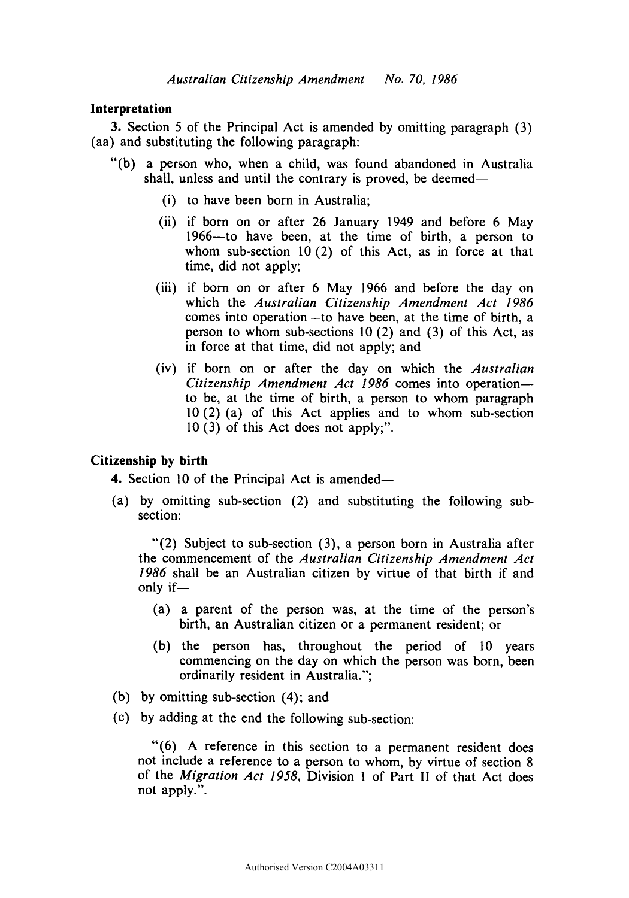# **Interpretation**

3. Section 5 of the Principal Act is amended by omitting paragraph (3) (aa) and substituting the following paragraph:

- "(b) a person who, when a child, was found abandoned in Australia shall, unless and until the contrary is proved, be deemed—
	- (i) to have been born in Australia;
	- (ii) if born on or after 26 January 1949 and before 6 May 1966—to have been, at the time of birth, a person to whom sub-section 10 (2) of this Act, as in force at that time, did not apply;
	- (iii) if born on or after 6 May 1966 and before the day on which the *Australian Citizenship Amendment Act 1986*  comes into operation—to have been, at the time of birth, a person to whom sub-sections 10 (2) and (3) of this Act, as in force at that time, did not apply; and
	- (iv) if born on or after the day on which the *Australian Citizenship Amendment Act 1986* comes into operation to be, at the time of birth, a person to whom paragraph  $10(2)$  (a) of this Act applies and to whom sub-section  $10(3)$  of this Act does not apply;".

### **Citizenship by birth**

**4.** Section 10 of the Principal Act is amended—

(a) by omitting sub-section  $(2)$  and substituting the following subsection:

"(2) Subject to sub-section (3), a person born in Australia after the commencement of the *Australian Citizenship Amendment Act 1986* shall be an Australian citizen by virtue of that birth if and only if—

- (a) a parent of the person was, at the time of the person's birth, an Australian citizen or a permanent resident; or
- (b) the person has, throughout the period of 10 years commencing on the day on which the person was born, been ordinarily resident in Australia.";
- (b) by omitting sub-section (4); and
- (c) by adding at the end the following sub-section:

"(6) A reference in this section to a permanent resident does not include a reference to a person to whom, by virtue of section 8 of the *Migration Act 1958,* Division 1 of Part II of that Act does not apply.".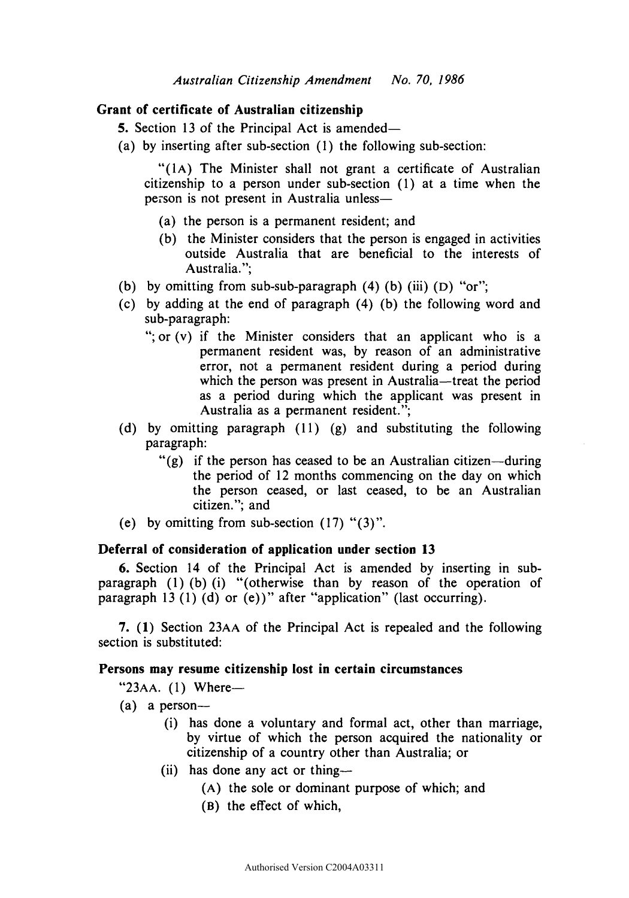# **Grant of certificate of Australian citizenship**

- **5.** Section 13 of the Principal Act is amended—
- (a) by inserting after sub-section (1) the following sub-section:

"(1A) The Minister shall not grant a certificate of Australian citizenship to a person under sub-section (1) at a time when the person is not present in Australia unless—

- (a) the person is a permanent resident; and
- (b) the Minister considers that the person is engaged in activities outside Australia that are beneficial to the interests of Australia.";
- (b) by omitting from sub-sub-paragraph  $(4)$   $(b)$   $(iii)$   $(D)$  "or";
- (c) by adding at the end of paragraph (4) (b) the following word and sub-paragraph:
	- "; or (v) if the Minister considers that an applicant who is a permanent resident was, by reason of an administrative error, not a permanent resident during a period during which the person was present in Australia—treat the period as a period during which the applicant was present in Australia as a permanent resident.";
- (d) by omitting paragraph (11) (g) and substituting the following paragraph:
	- "(g) if the person has ceased to be an Australian citizen—during the period of 12 months commencing on the day on which the person ceased, or last ceased, to be an Australian citizen."; and
- (e) by omitting from sub-section  $(17)$  " $(3)$ ".

# **Deferral of consideration of application under section 13**

**6.** Section 14 of the Principal Act is amended by inserting in subparagraph (1) (b) (i) "(otherwise than by reason of the operation of paragraph 13 (1) (d) or (e))" after "application" (last occurring).

**7. (1)** Section 23AA of the Principal Act is repealed and the following section is substituted:

# **Persons may resume citizenship lost in certain circumstances**

"23AA. (1) Where—

- $(a)$  a person--
	- (i) has done a voluntary and formal act, other than marriage, by virtue of which the person acquired the nationality or citizenship of a country other than Australia; or
	- (ii) has done any act or thing—
		- **( A )** the sole or dominant purpose of which; and
		- **( B)** the effect of which,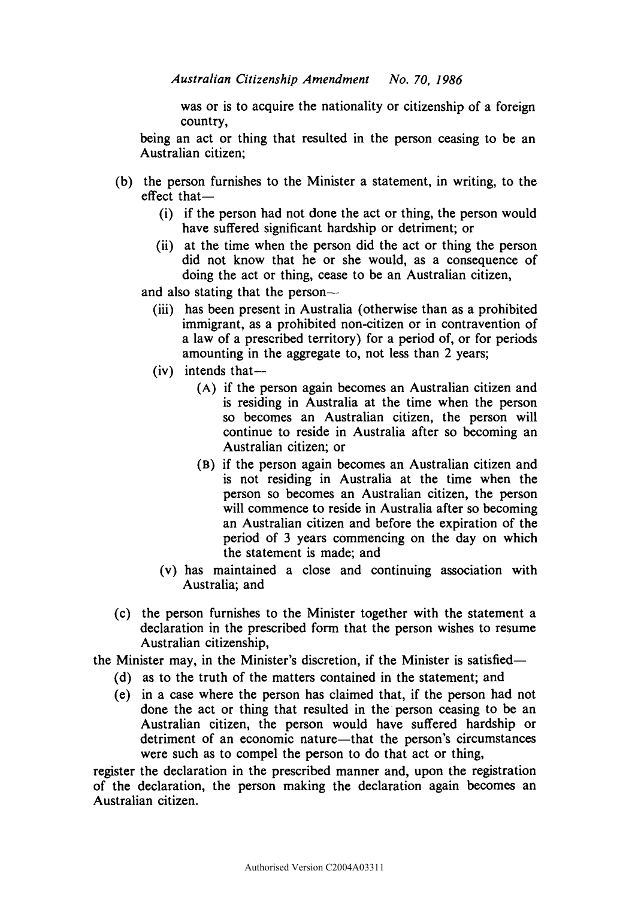was or is to acquire the nationality or citizenship of a foreign country,

being an act or thing that resulted in the person ceasing to be an Australian citizen;

- (b) the person furnishes to the Minister a statement, in writing, to the effect that—
	- (i) if the person had not done the act or thing, the person would have suffered significant hardship or detriment; or
	- (ii) at the time when the person did the act or thing the person did not know that he or she would, as a consequence of doing the act or thing, cease to be an Australian citizen,
	- and also stating that the person—
		- (iii) has been present in Australia (otherwise than as a prohibited immigrant, as a prohibited non-citizen or in contravention of a law of a prescribed territory) for a period of, or for periods amounting in the aggregate to, not less than 2 years;
		- (iv) intends that—
			- **( A )** if the person again becomes an Australian citizen and is residing in Australia at the time when the person so becomes an Australian citizen, the person will continue to reside in Australia after so becoming an Australian citizen; or
			- **( B)** if the person again becomes an Australian citizen and is not residing in Australia at the time when the person so becomes an Australian citizen, the person will commence to reside in Australia after so becoming an Australian citizen and before the expiration of the period of 3 years commencing on the day on which the statement is made; and
			- (v) has maintained a close and continuing association with Australia; and
- (c) the person furnishes to the Minister together with the statement a declaration in the prescribed form that the person wishes to resume Australian citizenship,

the Minister may, in the Minister's discretion, if the Minister is satisfied—

- (d) as to the truth of the matters contained in the statement; and
- (e) in a case where the person has claimed that, if the person had not done the act or thing that resulted in the person ceasing to be an Australian citizen, the person would have suffered hardship or detriment of an economic nature—that the person's circumstances were such as to compel the person to do that act or thing,

register the declaration in the prescribed manner and, upon the registration of the declaration, the person making the declaration again becomes an Australian citizen.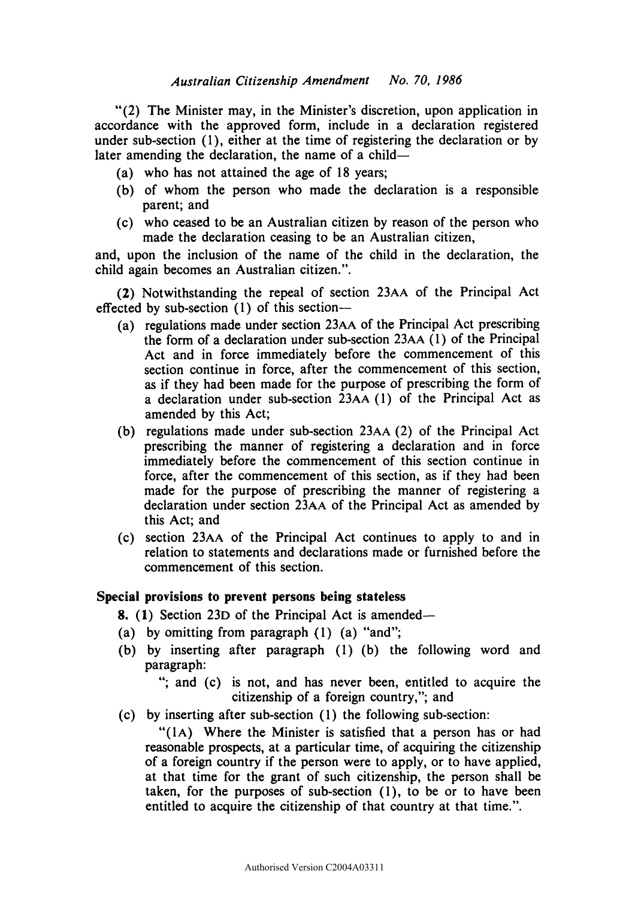"(2) The Minister may, in the Minister's discretion, upon application in accordance with the approved form, include in a declaration registered under sub-section (1), either at the time of registering the declaration or by later amending the declaration, the name of a child—

- (a) who has not attained the age of 18 years;
- (b) of whom the person who made the declaration is a responsible parent; and
- (c) who ceased to be an Australian citizen by reason of the person who made the declaration ceasing to be an Australian citizen,

and, upon the inclusion of the name of the child in the declaration, the child again becomes an Australian citizen.".

**(2)** Notwithstanding the repeal of section 23AA of the Principal Act effected by sub-section (1) of this section—

- (a) regulations made under section 23AA of the Principal Act prescribing the form of a declaration under sub-section 23AA (1) of the Principal Act and in force immediately before the commencement of this section continue in force, after the commencement of this section, as if they had been made for the purpose of prescribing the form of a declaration under sub-section 23AA (1) of the Principal Act as amended by this Act;
- (b) regulations made under sub-section 23AA (2) of the Principal Act prescribing the manner of registering a declaration and in force immediately before the commencement of this section continue in force, after the commencement of this section, as if they had been made for the purpose of prescribing the manner of registering a declaration under section 23AA of the Principal Act as amended by this Act; and
- (c) section 23AA of the Principal Act continues to apply to and in relation to statements and declarations made or furnished before the commencement of this section.

## **Special provisions to prevent persons being stateless**

- **8. (1)** Section 23**D** of the Principal Act is amended—
- (a) by omitting from paragraph (1) (a) "and";
- (b) by inserting after paragraph (1) (b) the following word and paragraph:

"; and (c) is not, and has never been, entitled to acquire the citizenship of a foreign country,"; and

(c) by inserting after sub-section (1) the following sub-section:

"(lA) Where the Minister is satisfied that a person has or had reasonable prospects, at a particular time, of acquiring the citizenship of a foreign country if the person were to apply, or to have applied, at that time for the grant of such citizenship, the person shall be taken, for the purposes of sub-section (1), to be or to have been entitled to acquire the citizenship of that country at that time.".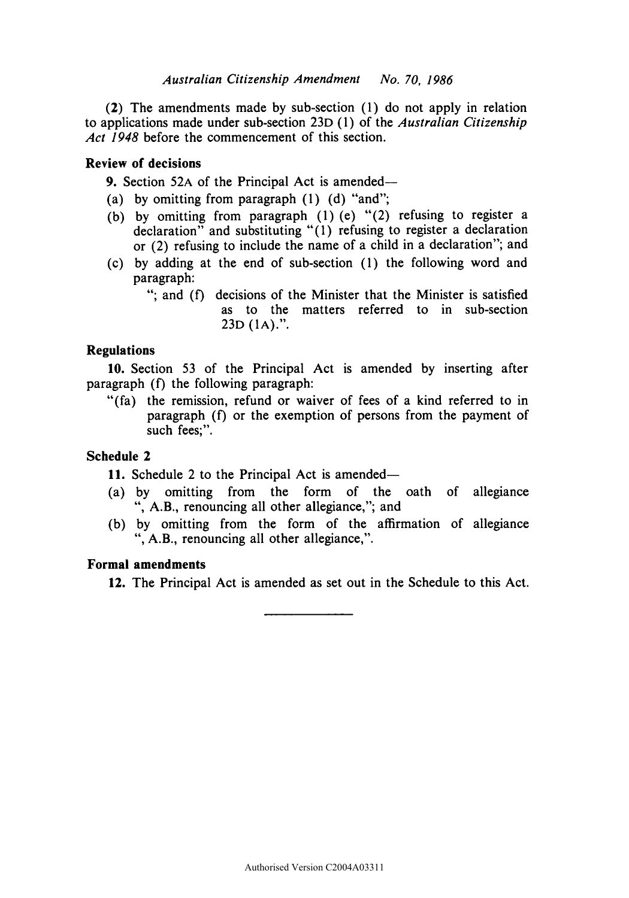**(2)** The amendments made by sub-section (1) do not apply in relation to applications made under sub-section 23D (1) of the *Australian Citizenship Act 1948* before the commencement of this section.

# **Review of decisions**

**9.** Section 52A of the Principal Act is amended—

- (a) by omitting from paragraph (1) (d) "and";
- (b) by omitting from paragraph (1) (e) "(2) refusing to register a declaration" and substituting "(1) refusing to register a declaration or (2) refusing to include the name of a child in a declaration"; and
- (c) by adding at the end of sub-section (1) the following word and paragraph:
	- "; and (f) decisions of the Minister that the Minister is satisfied as to the matters referred to in sub-section 23D (1A).".

# **Regulations**

**10.** Section 53 of the Principal Act is amended by inserting after paragraph (f) the following paragraph:

"(fa) the remission, refund or waiver of fees of a kind referred to in paragraph (f) or the exemption of persons from the payment of such fees:".

# **Schedule 2**

**11.** Schedule 2 to the Principal Act is amended—

- (a) by omitting from the form of the oath of allegiance ", A.B., renouncing all other allegiance,"; and
- (b) by omitting from the form of the affirmation of allegiance ", A.B., renouncing all other allegiance,".

# **Formal amendments**

**12.** The Principal Act is amended as set out in the Schedule to this Act.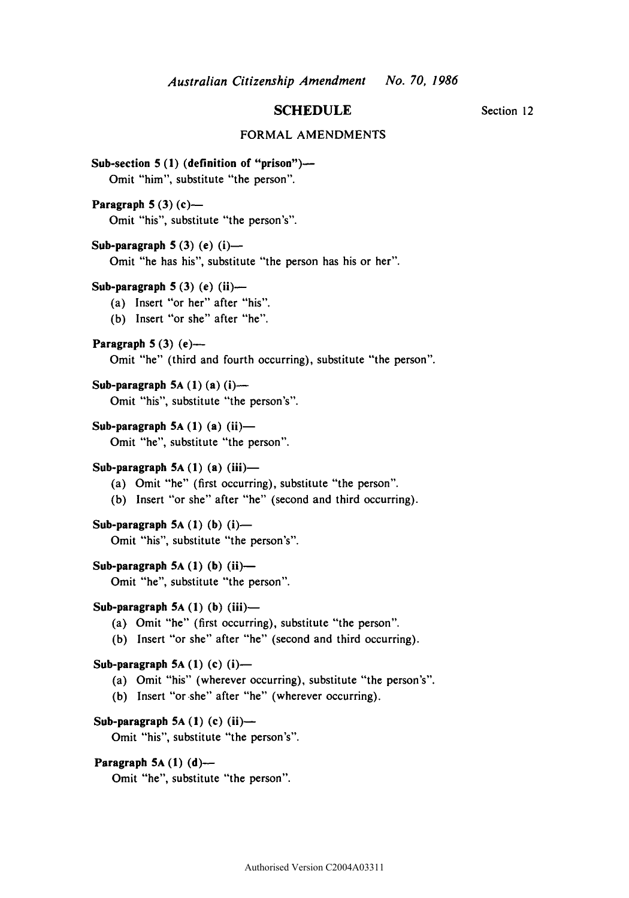# **SCHEDULE** Section 12

#### FORMAL AMENDMENTS

```
Paragraph 5A (1) (d)— 
    Omit "he", substitute "the person".
Sub-section 5 (1) (definition of "prison")— 
   Omit "him", substitute "the person".
Paragraph 5 (3) (c)— 
   Omit "his", substitute "the person's". 
Sub-paragraph 5 (3) (e) (i)— 
   Omit "he has his", substitute "the person has his or her". 
Sub-paragraph 5 (3) (e) (ii)— 
   (a) Insert "or her" after "his".
   (b) Insert "or she" after "he".
Paragraph 5 (3) (e)— 
   Omit "he" (third and fourth occurring), substitute "the person".
Sub-paragraph 5A (1) (a) (i)— 
   Omit "his", substitute "the person's". 
Sub-paragraph 5A (1) (a) (ii)— 
   Omit "he", substitute "the person".
Sub-paragraph 5A (1) (a) (iii)— 
    (a) Omit "he" (first occurring), substitute "the person".
    (b) Insert "or she" after "he" (second and third occurring).
Sub-paragraph 5A (1) (b) (i)— 
   Omit "his", substitute "the person's". 
Sub-paragraph 5A (1) (b) (ii)— 
    Omit "he", substitute "the person".
Sub-paragraph 5A (1) (b) (iii)— 
    (a) Omit "he" (first occurring), substitute "the person".
    (b) Insert "or she" after "he" (second and third occurring).
Sub-paragraph 5A (1) (c) (i)— 
    (a) Omit "his" (wherever occurring), substitute "the person's".
    (b) Insert "or she" after "he" (wherever occurring).
Sub-paragraph 5A (1) (c) (ii)— 
    Omit "his", substitute "the person's".
```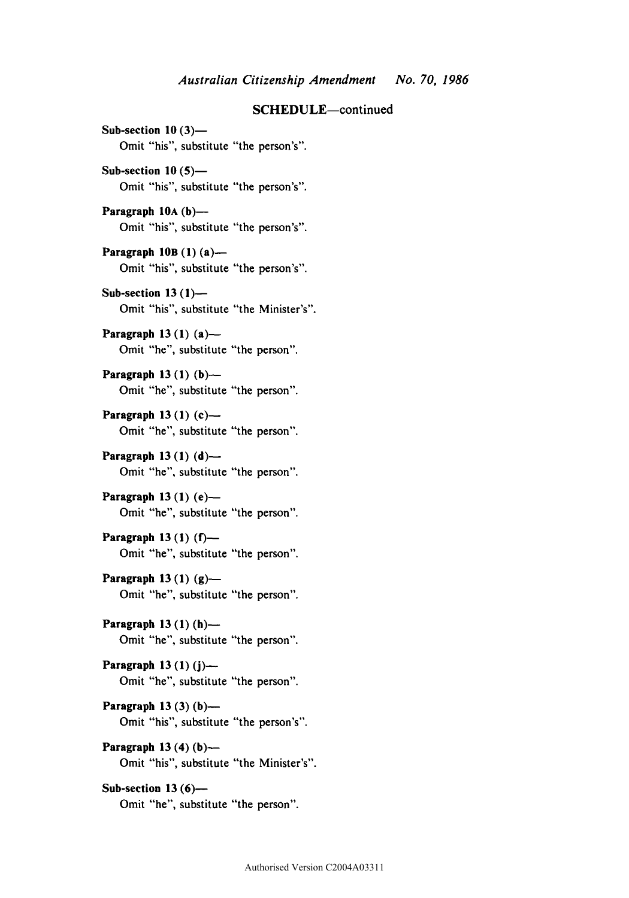**Sub-section 10 (3)—**  Omit "his", substitute "the person's".

**Sub-section 10 (5)—**  Omit "his", substitute "the person's".

**Paragraph 10A (b)—**  Omit "his", substitute "the person's".

**Paragraph 10B (1) (a)—**  Omit "his", substitute "the person's".

**Sub-section 13 (1)—**  Omit "his", substitute "the Minister's".

**Paragraph 13 (1) (a)—**  Omit "he", substitute "the person".

Paragraph 13 (1) (b)-Omit "he", substitute "the person".

**Paragraph 13 (1) (c)—**  Omit "he", substitute "the person".

**Paragraph 13 (1) (d)—**  Omit "he", substitute "the person".

**Paragraph 13 (1) (e)—**  Omit "he", substitute "the person".

**Paragraph 13 (1) (f)—**  Omit "he", substitute "the person".

**Paragraph 13 (1) (g)—**  Omit "he", substitute "the person".

**Paragraph 13(1 ) (h)—**  Omit "he", substitute "the person".

**Paragraph 13 (1) (j)—**  Omit "he", substitute "the person".

**Paragraph 13 (3) (b)—**  Omit "his", substitute "the person's".

**Paragraph 13 (4) (b)—**  Omit "his", substitute "the Minister's".

**Sub-section 13 (6)—**  Omit "he", substitute "the person".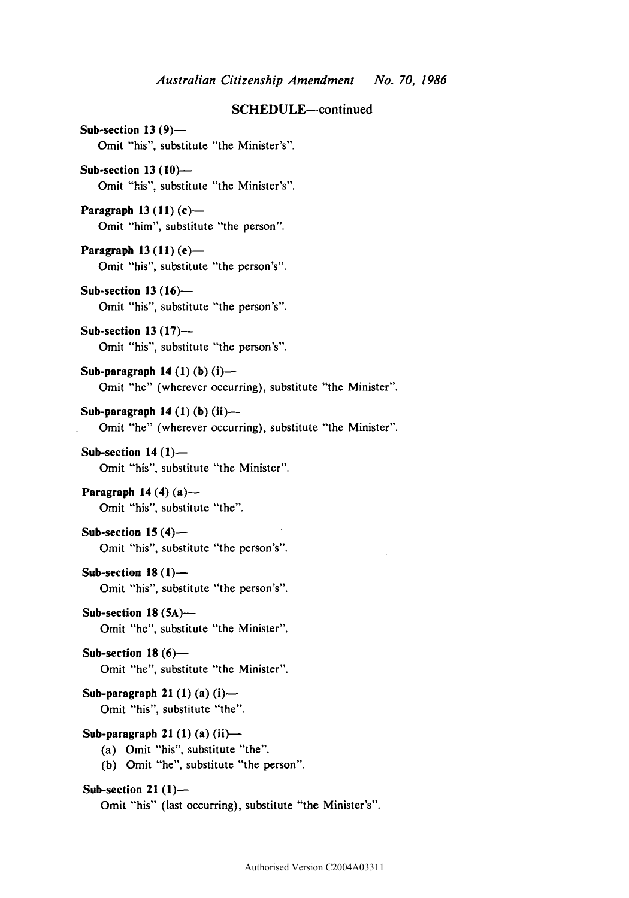**Sub-section 13 (9)—**  Omit "his", substitute "the Minister's".

**Sub-section 13 (10)—**  Omit "his", substitute "the Minister's".

**Paragraph 13 (11) (c)—**  Omit "him", substitute "the person".

**Paragraph 13(11)(e)** — Omit "his", substitute "the person's".

**Sub-section 13 (16)—**  Omit "his", substitute "the person's".

**Sub-section 13 (17)—**  Omit "his", substitute "the person's".

**Sub-paragraph 14 (1) (b) (i)—**  Omit "he" (wherever occurring), substitute "the Minister".

**Sub-paragraph 14 (1) (b) (ii)—**  Omit "he" (wherever occurring), substitute "the Minister".

**Sub-section 14(1) —**  Omit "his", substitute "the Minister".

**Paragraph 14 (4) (a)—**  Omit "his", substitute "the".

**Sub-section 15 (4)—**  Omit "his", substitute "the person's".

**Sub-section 18 (1)—**  Omit "his", substitute "the person's".

**Sub-section 18 (5A)—**  Omit "he", substitute "the Minister".

**Sub-section 18 (6)—**  Omit "he", substitute "the Minister".

**Sub-paragraph 21 (1) (a) (i)—**  Omit "his", substitute "the".

**Sub-paragraph 21 (1) (a) (ii)—** 

(a) Omit "his", substitute "the".

(b) Omit "he", substitute "the person".

#### **Sub-section 21 (1)—**

Omit "his" (last occurring), substitute "the Minister's".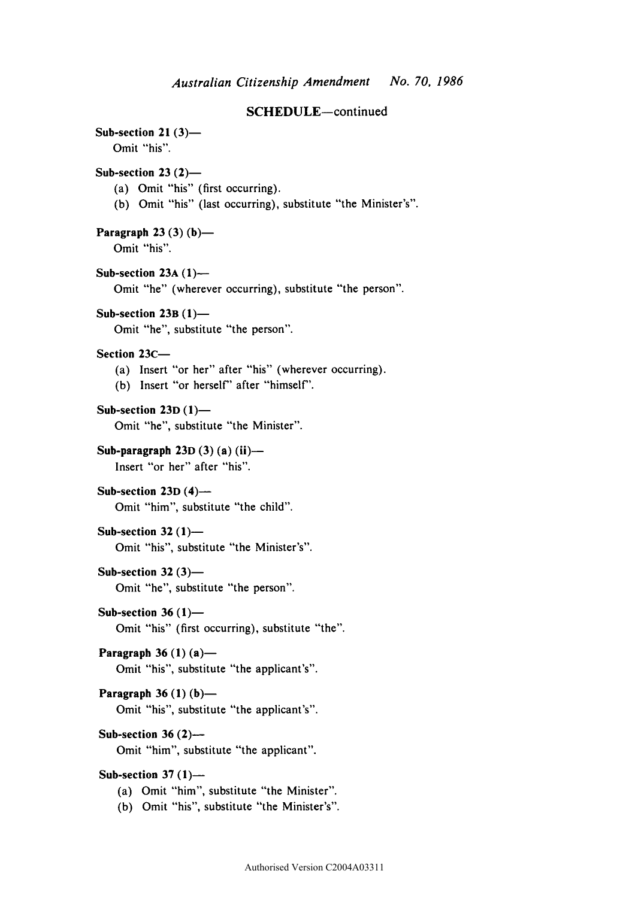Sub-section 21 $(3)$ —

Omit "his".

# **Sub-section 23 (2)—**

- (a) Omit "his" (first occurring).
- (b) Omit "his" (last occurring), substitute "the Minister's".

**Paragraph 23 (3) (b)—**  Omit "his".

> **Sub-section 23A (1)—**  Omit "he" (wherever occurring), substitute "the person".

**Sub-section 23B (1)—** 

Omit "he", substitute "the person".

### **Section 23C—**

- (a) Insert "or her" after "his" (wherever occurring).
- (b) Insert "or herself" after "himself".

**Sub-section 23D (1)—**  Omit "he", substitute "the Minister".

**Sub-paragraph 23D (3) (a) (ii)—**  Insert "or her" after "his".

**Sub-section 23D (4)—**  Omit "him", substitute "the child".

#### **Sub-section 32 (1)—**

Omit "his", substitute "the Minister's".

#### **Sub-section 32 (3)—**

Omit "he", substitute "the person".

**Sub-section 36 (1)—** 

Omit "his" (first occurring), substitute "the".

```
Paragraph 36 (1) (a)—
```
Omit "his", substitute "the applicant's".

#### **Paragraph 36 (1) (b)—**

Omit "his", substitute "the applicant's".

# **Sub-section 36 (2)—**

Omit "him", substitute "the applicant".

# **Sub-section 37 (1)—**

- (a) Omit "him", substitute "the Minister".
- (b) Omit "his", substitute "the Minister's".